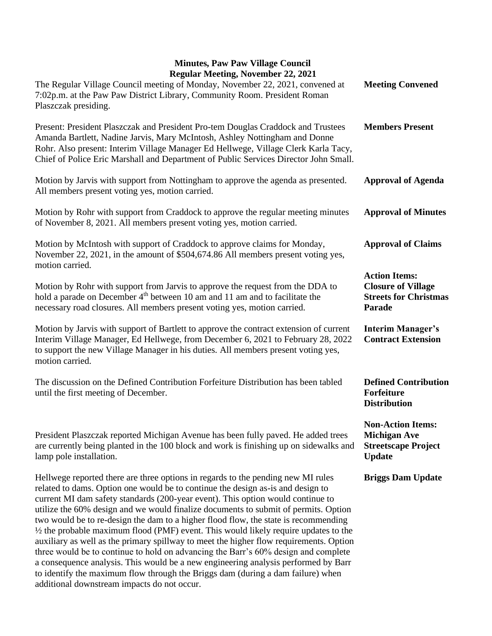## **Minutes, Paw Paw Village Council Regular Meeting, November 22, 2021**

| Regular Meeting, November 22, 2021<br>The Regular Village Council meeting of Monday, November 22, 2021, convened at<br>7:02p.m. at the Paw Paw District Library, Community Room. President Roman<br>Plaszczak presiding.                                                                                                                                                                                                                                                                                                                                                                                                                                                                                                                                                                                                                                                                                                                       | <b>Meeting Convened</b>                                                                        |
|------------------------------------------------------------------------------------------------------------------------------------------------------------------------------------------------------------------------------------------------------------------------------------------------------------------------------------------------------------------------------------------------------------------------------------------------------------------------------------------------------------------------------------------------------------------------------------------------------------------------------------------------------------------------------------------------------------------------------------------------------------------------------------------------------------------------------------------------------------------------------------------------------------------------------------------------|------------------------------------------------------------------------------------------------|
| Present: President Plaszczak and President Pro-tem Douglas Craddock and Trustees<br>Amanda Bartlett, Nadine Jarvis, Mary McIntosh, Ashley Nottingham and Donne<br>Rohr. Also present: Interim Village Manager Ed Hellwege, Village Clerk Karla Tacy,<br>Chief of Police Eric Marshall and Department of Public Services Director John Small.                                                                                                                                                                                                                                                                                                                                                                                                                                                                                                                                                                                                   | <b>Members Present</b>                                                                         |
| Motion by Jarvis with support from Nottingham to approve the agenda as presented.<br>All members present voting yes, motion carried.                                                                                                                                                                                                                                                                                                                                                                                                                                                                                                                                                                                                                                                                                                                                                                                                           | <b>Approval of Agenda</b>                                                                      |
| Motion by Rohr with support from Craddock to approve the regular meeting minutes<br>of November 8, 2021. All members present voting yes, motion carried.                                                                                                                                                                                                                                                                                                                                                                                                                                                                                                                                                                                                                                                                                                                                                                                       | <b>Approval of Minutes</b>                                                                     |
| Motion by McIntosh with support of Craddock to approve claims for Monday,<br>November 22, 2021, in the amount of \$504,674.86 All members present voting yes,                                                                                                                                                                                                                                                                                                                                                                                                                                                                                                                                                                                                                                                                                                                                                                                  | <b>Approval of Claims</b>                                                                      |
| motion carried.<br>Motion by Rohr with support from Jarvis to approve the request from the DDA to<br>hold a parade on December 4 <sup>th</sup> between 10 am and 11 am and to facilitate the<br>necessary road closures. All members present voting yes, motion carried.                                                                                                                                                                                                                                                                                                                                                                                                                                                                                                                                                                                                                                                                       | <b>Action Items:</b><br><b>Closure of Village</b><br><b>Streets for Christmas</b><br>Parade    |
| Motion by Jarvis with support of Bartlett to approve the contract extension of current<br>Interim Village Manager, Ed Hellwege, from December 6, 2021 to February 28, 2022<br>to support the new Village Manager in his duties. All members present voting yes,<br>motion carried.                                                                                                                                                                                                                                                                                                                                                                                                                                                                                                                                                                                                                                                             | <b>Interim Manager's</b><br><b>Contract Extension</b>                                          |
| The discussion on the Defined Contribution Forfeiture Distribution has been tabled<br>until the first meeting of December.                                                                                                                                                                                                                                                                                                                                                                                                                                                                                                                                                                                                                                                                                                                                                                                                                     | <b>Defined Contribution</b><br><b>Forfeiture</b><br><b>Distribution</b>                        |
| President Plaszczak reported Michigan Avenue has been fully paved. He added trees<br>are currently being planted in the 100 block and work is finishing up on sidewalks and<br>lamp pole installation.                                                                                                                                                                                                                                                                                                                                                                                                                                                                                                                                                                                                                                                                                                                                         | <b>Non-Action Items:</b><br><b>Michigan Ave</b><br><b>Streetscape Project</b><br><b>Update</b> |
| Hellwege reported there are three options in regards to the pending new MI rules<br>related to dams. Option one would be to continue the design as-is and design to<br>current MI dam safety standards (200-year event). This option would continue to<br>utilize the 60% design and we would finalize documents to submit of permits. Option<br>two would be to re-design the dam to a higher flood flow, the state is recommending<br>$\frac{1}{2}$ the probable maximum flood (PMF) event. This would likely require updates to the<br>auxiliary as well as the primary spillway to meet the higher flow requirements. Option<br>three would be to continue to hold on advancing the Barr's 60% design and complete<br>a consequence analysis. This would be a new engineering analysis performed by Barr<br>to identify the maximum flow through the Briggs dam (during a dam failure) when<br>additional downstream impacts do not occur. | <b>Briggs Dam Update</b>                                                                       |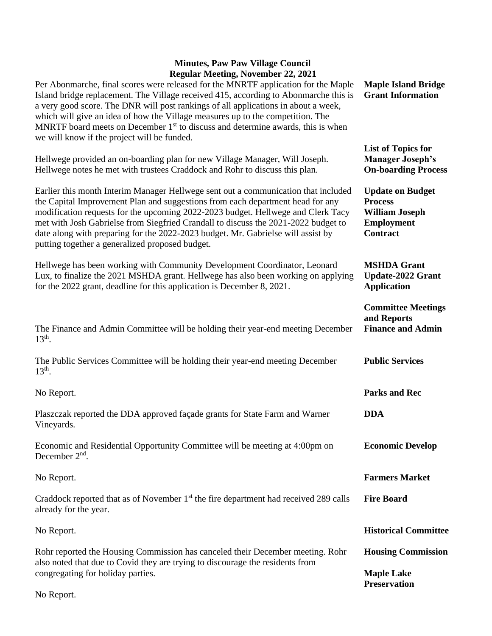## **Minutes, Paw Paw Village Council Regular Meeting, November 22, 2021**

| $\kappa$ gular iviteting, ivoveniber 22, 2021<br>Per Abonmarche, final scores were released for the MNRTF application for the Maple<br>Island bridge replacement. The Village received 415, according to Abonmarche this is<br>a very good score. The DNR will post rankings of all applications in about a week,<br>which will give an idea of how the Village measures up to the competition. The<br>MNRTF board meets on December $1st$ to discuss and determine awards, this is when<br>we will know if the project will be funded. | <b>Maple Island Bridge</b><br><b>Grant Information</b>                                                     |
|-----------------------------------------------------------------------------------------------------------------------------------------------------------------------------------------------------------------------------------------------------------------------------------------------------------------------------------------------------------------------------------------------------------------------------------------------------------------------------------------------------------------------------------------|------------------------------------------------------------------------------------------------------------|
| Hellwege provided an on-boarding plan for new Village Manager, Will Joseph.<br>Hellwege notes he met with trustees Craddock and Rohr to discuss this plan.                                                                                                                                                                                                                                                                                                                                                                              | <b>List of Topics for</b><br><b>Manager Joseph's</b><br><b>On-boarding Process</b>                         |
| Earlier this month Interim Manager Hellwege sent out a communication that included<br>the Capital Improvement Plan and suggestions from each department head for any<br>modification requests for the upcoming 2022-2023 budget. Hellwege and Clerk Tacy<br>met with Josh Gabrielse from Siegfried Crandall to discuss the 2021-2022 budget to<br>date along with preparing for the 2022-2023 budget. Mr. Gabrielse will assist by<br>putting together a generalized proposed budget.                                                   | <b>Update on Budget</b><br><b>Process</b><br><b>William Joseph</b><br><b>Employment</b><br><b>Contract</b> |
| Hellwege has been working with Community Development Coordinator, Leonard<br>Lux, to finalize the 2021 MSHDA grant. Hellwege has also been working on applying<br>for the 2022 grant, deadline for this application is December 8, 2021.                                                                                                                                                                                                                                                                                                | <b>MSHDA Grant</b><br><b>Update-2022 Grant</b><br><b>Application</b>                                       |
| The Finance and Admin Committee will be holding their year-end meeting December<br>$13th$ .                                                                                                                                                                                                                                                                                                                                                                                                                                             | <b>Committee Meetings</b><br>and Reports<br><b>Finance and Admin</b>                                       |
| The Public Services Committee will be holding their year-end meeting December<br>$13th$ .                                                                                                                                                                                                                                                                                                                                                                                                                                               | <b>Public Services</b>                                                                                     |
| No Report.                                                                                                                                                                                                                                                                                                                                                                                                                                                                                                                              | <b>Parks and Rec</b>                                                                                       |
| Plaszczak reported the DDA approved façade grants for State Farm and Warner<br>Vineyards.                                                                                                                                                                                                                                                                                                                                                                                                                                               | <b>DDA</b>                                                                                                 |
| Economic and Residential Opportunity Committee will be meeting at 4:00pm on<br>December $2nd$ .                                                                                                                                                                                                                                                                                                                                                                                                                                         | <b>Economic Develop</b>                                                                                    |
| No Report.                                                                                                                                                                                                                                                                                                                                                                                                                                                                                                                              | <b>Farmers Market</b>                                                                                      |
| Craddock reported that as of November $1st$ the fire department had received 289 calls<br>already for the year.                                                                                                                                                                                                                                                                                                                                                                                                                         | <b>Fire Board</b>                                                                                          |
| No Report.                                                                                                                                                                                                                                                                                                                                                                                                                                                                                                                              | <b>Historical Committee</b>                                                                                |
| Rohr reported the Housing Commission has canceled their December meeting. Rohr<br>also noted that due to Covid they are trying to discourage the residents from                                                                                                                                                                                                                                                                                                                                                                         | <b>Housing Commission</b>                                                                                  |
| congregating for holiday parties.                                                                                                                                                                                                                                                                                                                                                                                                                                                                                                       | <b>Maple Lake</b><br><b>Preservation</b>                                                                   |
| No Report.                                                                                                                                                                                                                                                                                                                                                                                                                                                                                                                              |                                                                                                            |